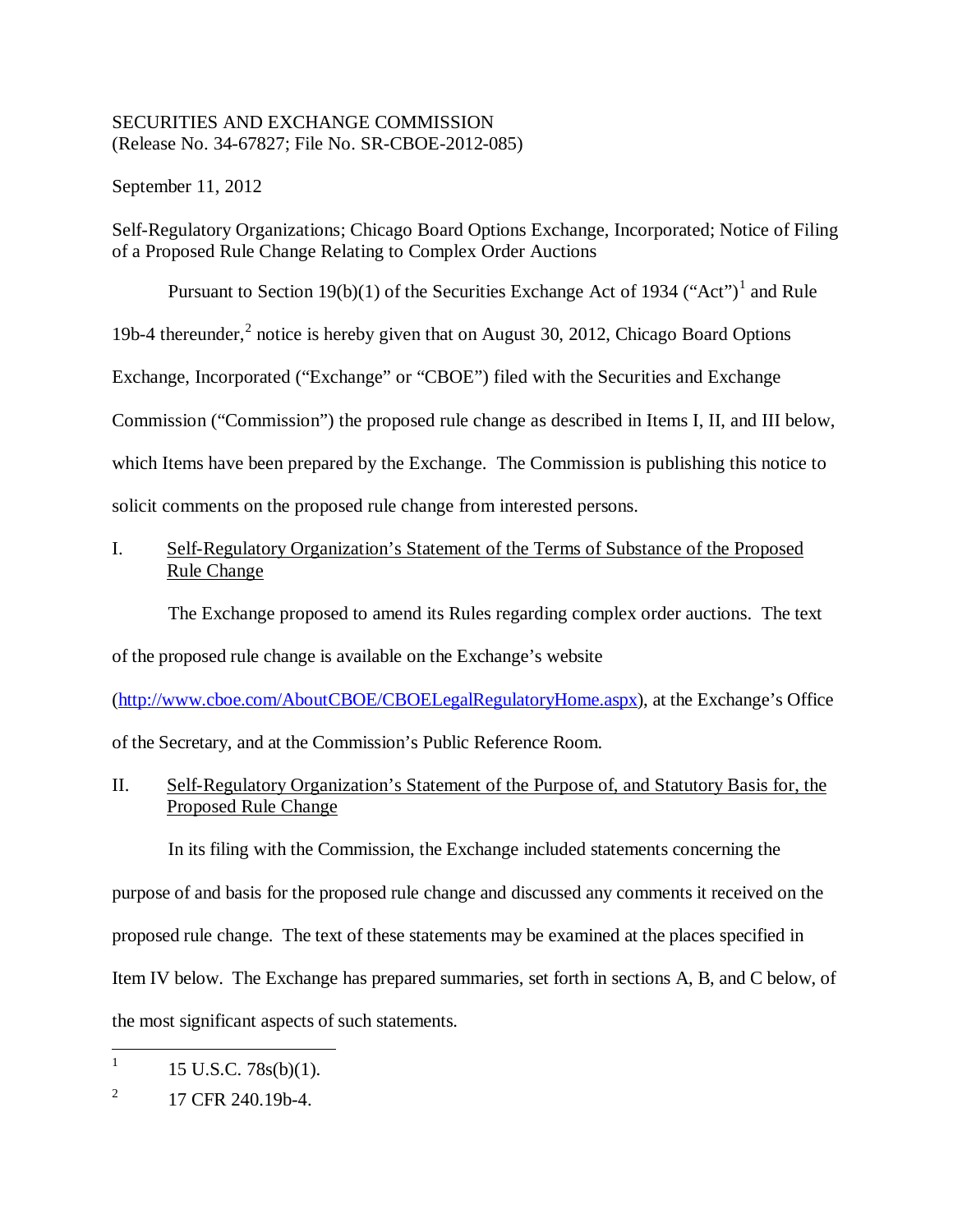## SECURITIES AND EXCHANGE COMMISSION (Release No. 34-67827; File No. SR-CBOE-2012-085)

September 11, 2012

Self-Regulatory Organizations; Chicago Board Options Exchange, Incorporated; Notice of Filing of a Proposed Rule Change Relating to Complex Order Auctions

Pursuant to Section [1](#page-0-0)9(b)(1) of the Securities Exchange Act of 1934 ("Act")<sup>1</sup> and Rule

19b-4 thereunder,<sup>[2](#page-0-1)</sup> notice is hereby given that on August 30, 2012, Chicago Board Options

Exchange, Incorporated ("Exchange" or "CBOE") filed with the Securities and Exchange

Commission ("Commission") the proposed rule change as described in Items I, II, and III below,

which Items have been prepared by the Exchange. The Commission is publishing this notice to

solicit comments on the proposed rule change from interested persons.

I. Self-Regulatory Organization's Statement of the Terms of Substance of the Proposed Rule Change

The Exchange proposed to amend its Rules regarding complex order auctions. The text

of the proposed rule change is available on the Exchange's website

[\(http://www.cboe.com/AboutCBOE/CBOELegalRegulatoryHome.aspx\)](http://www.cboe.com/AboutCBOE/CBOELegalRegulatoryHome.aspx), at the Exchange's Office

of the Secretary, and at the Commission's Public Reference Room.

II. Self-Regulatory Organization's Statement of the Purpose of, and Statutory Basis for, the Proposed Rule Change

In its filing with the Commission, the Exchange included statements concerning the purpose of and basis for the proposed rule change and discussed any comments it received on the proposed rule change. The text of these statements may be examined at the places specified in Item IV below. The Exchange has prepared summaries, set forth in sections A, B, and C below, of the most significant aspects of such statements.

<span id="page-0-0"></span><sup>1</sup> 15 U.S.C. 78s(b)(1).

<span id="page-0-1"></span> $^{2}$  17 CFR 240.19b-4.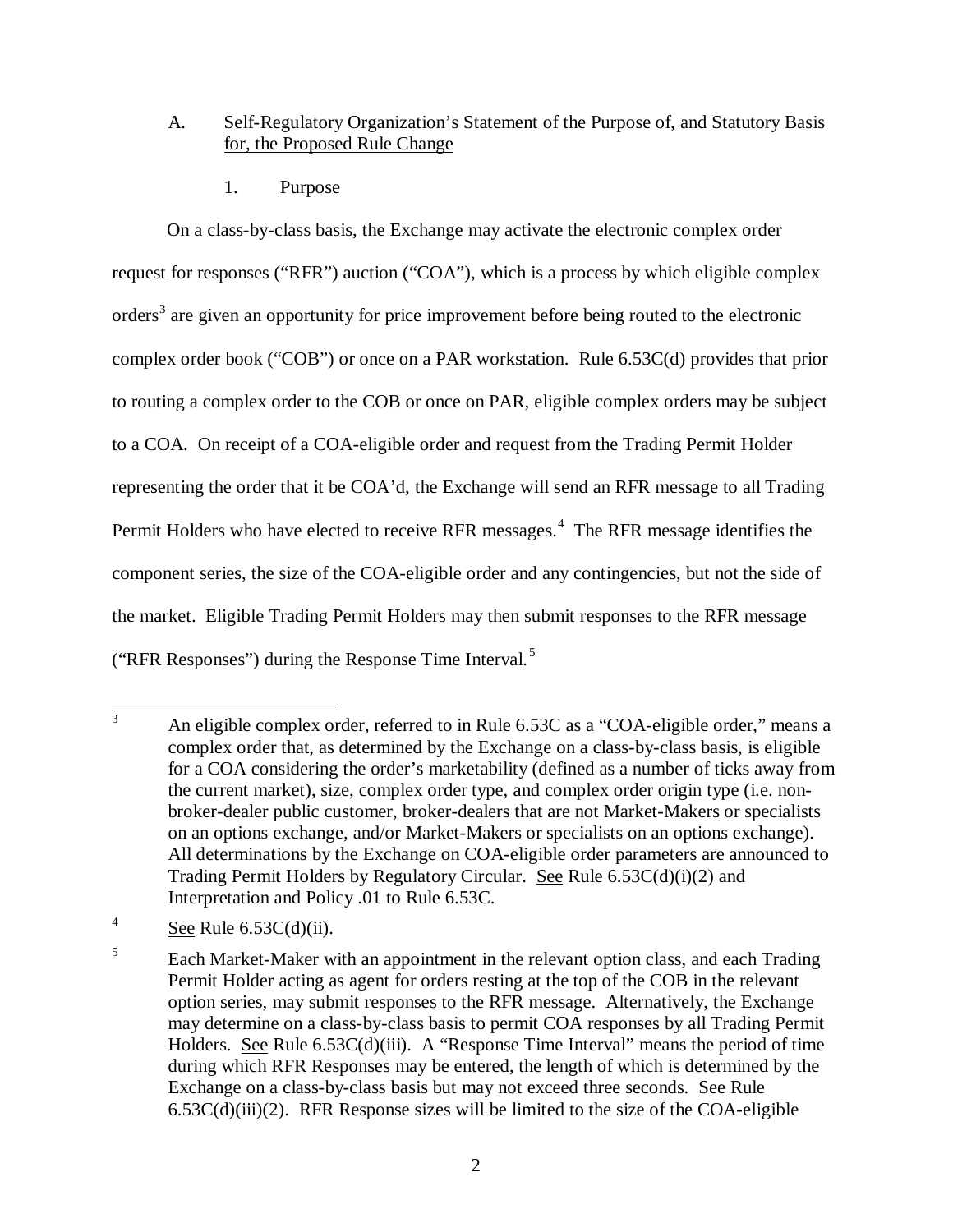# A. Self-Regulatory Organization's Statement of the Purpose of, and Statutory Basis for, the Proposed Rule Change

1. Purpose

On a class-by-class basis, the Exchange may activate the electronic complex order request for responses ("RFR") auction ("COA"), which is a process by which eligible complex orders<sup>[3](#page-1-0)</sup> are given an opportunity for price improvement before being routed to the electronic complex order book ("COB") or once on a PAR workstation. Rule 6.53C(d) provides that prior to routing a complex order to the COB or once on PAR, eligible complex orders may be subject to a COA. On receipt of a COA-eligible order and request from the Trading Permit Holder representing the order that it be COA'd, the Exchange will send an RFR message to all Trading Permit Holders who have elected to receive RFR messages.<sup>[4](#page-1-1)</sup> The RFR message identifies the component series, the size of the COA-eligible order and any contingencies, but not the side of the market. Eligible Trading Permit Holders may then submit responses to the RFR message ("RFR Responses") during the Response Time Interval.<sup>[5](#page-1-2)</sup>

<span id="page-1-0"></span><sup>&</sup>lt;sup>3</sup> An eligible complex order, referred to in Rule 6.53C as a "COA-eligible order," means a complex order that, as determined by the Exchange on a class-by-class basis, is eligible for a COA considering the order's marketability (defined as a number of ticks away from the current market), size, complex order type, and complex order origin type (i.e. nonbroker-dealer public customer, broker-dealers that are not Market-Makers or specialists on an options exchange, and/or Market-Makers or specialists on an options exchange). All determinations by the Exchange on COA-eligible order parameters are announced to Trading Permit Holders by Regulatory Circular. See Rule  $6.53C(d)(i)(2)$  and Interpretation and Policy .01 to Rule 6.53C.

<span id="page-1-1"></span><sup>&</sup>lt;sup>4</sup> See Rule  $6.53C(d)(ii)$ .

<span id="page-1-2"></span><sup>&</sup>lt;sup>5</sup> Each Market-Maker with an appointment in the relevant option class, and each Trading Permit Holder acting as agent for orders resting at the top of the COB in the relevant option series, may submit responses to the RFR message. Alternatively, the Exchange may determine on a class-by-class basis to permit COA responses by all Trading Permit Holders. See Rule 6.53C(d)(iii). A "Response Time Interval" means the period of time during which RFR Responses may be entered, the length of which is determined by the Exchange on a class-by-class basis but may not exceed three seconds. See Rule  $6.53C(d)(iii)(2)$ . RFR Response sizes will be limited to the size of the COA-eligible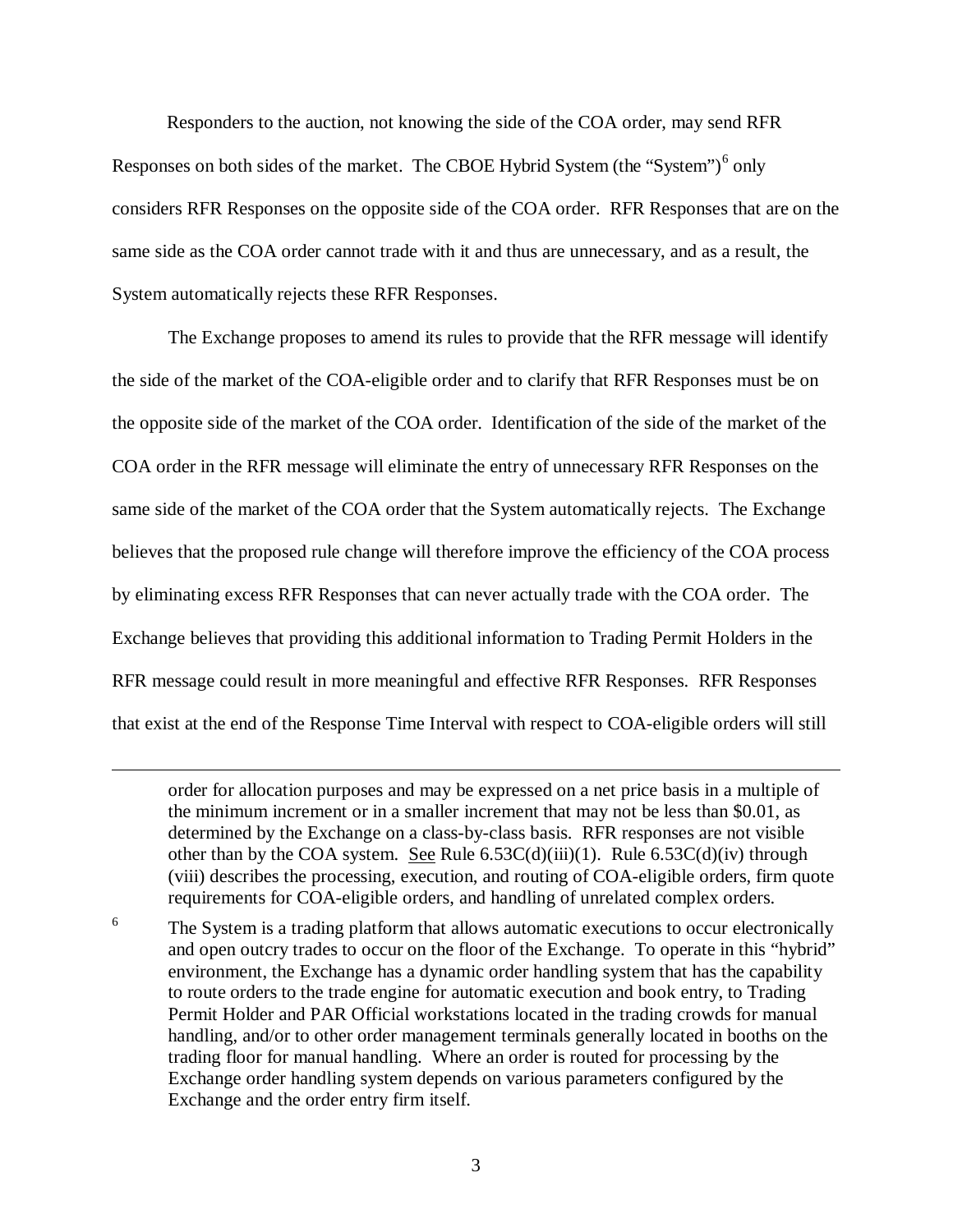Responders to the auction, not knowing the side of the COA order, may send RFR Responses on both sides of the market. The CBOE Hybrid System (the "System") $<sup>6</sup>$  $<sup>6</sup>$  $<sup>6</sup>$  only</sup> considers RFR Responses on the opposite side of the COA order. RFR Responses that are on the same side as the COA order cannot trade with it and thus are unnecessary, and as a result, the System automatically rejects these RFR Responses.

The Exchange proposes to amend its rules to provide that the RFR message will identify the side of the market of the COA-eligible order and to clarify that RFR Responses must be on the opposite side of the market of the COA order. Identification of the side of the market of the COA order in the RFR message will eliminate the entry of unnecessary RFR Responses on the same side of the market of the COA order that the System automatically rejects. The Exchange believes that the proposed rule change will therefore improve the efficiency of the COA process by eliminating excess RFR Responses that can never actually trade with the COA order. The Exchange believes that providing this additional information to Trading Permit Holders in the RFR message could result in more meaningful and effective RFR Responses. RFR Responses that exist at the end of the Response Time Interval with respect to COA-eligible orders will still

 $\overline{a}$ 

<span id="page-2-0"></span><sup>6</sup> The System is a trading platform that allows automatic executions to occur electronically and open outcry trades to occur on the floor of the Exchange. To operate in this "hybrid" environment, the Exchange has a dynamic order handling system that has the capability to route orders to the trade engine for automatic execution and book entry, to Trading Permit Holder and PAR Official workstations located in the trading crowds for manual handling, and/or to other order management terminals generally located in booths on the trading floor for manual handling. Where an order is routed for processing by the Exchange order handling system depends on various parameters configured by the Exchange and the order entry firm itself.

order for allocation purposes and may be expressed on a net price basis in a multiple of the minimum increment or in a smaller increment that may not be less than \$0.01, as determined by the Exchange on a class-by-class basis. RFR responses are not visible other than by the COA system. See Rule  $6.53C(d)(iii)(1)$ . Rule  $6.53C(d)(iv)$  through (viii) describes the processing, execution, and routing of COA-eligible orders, firm quote requirements for COA-eligible orders, and handling of unrelated complex orders.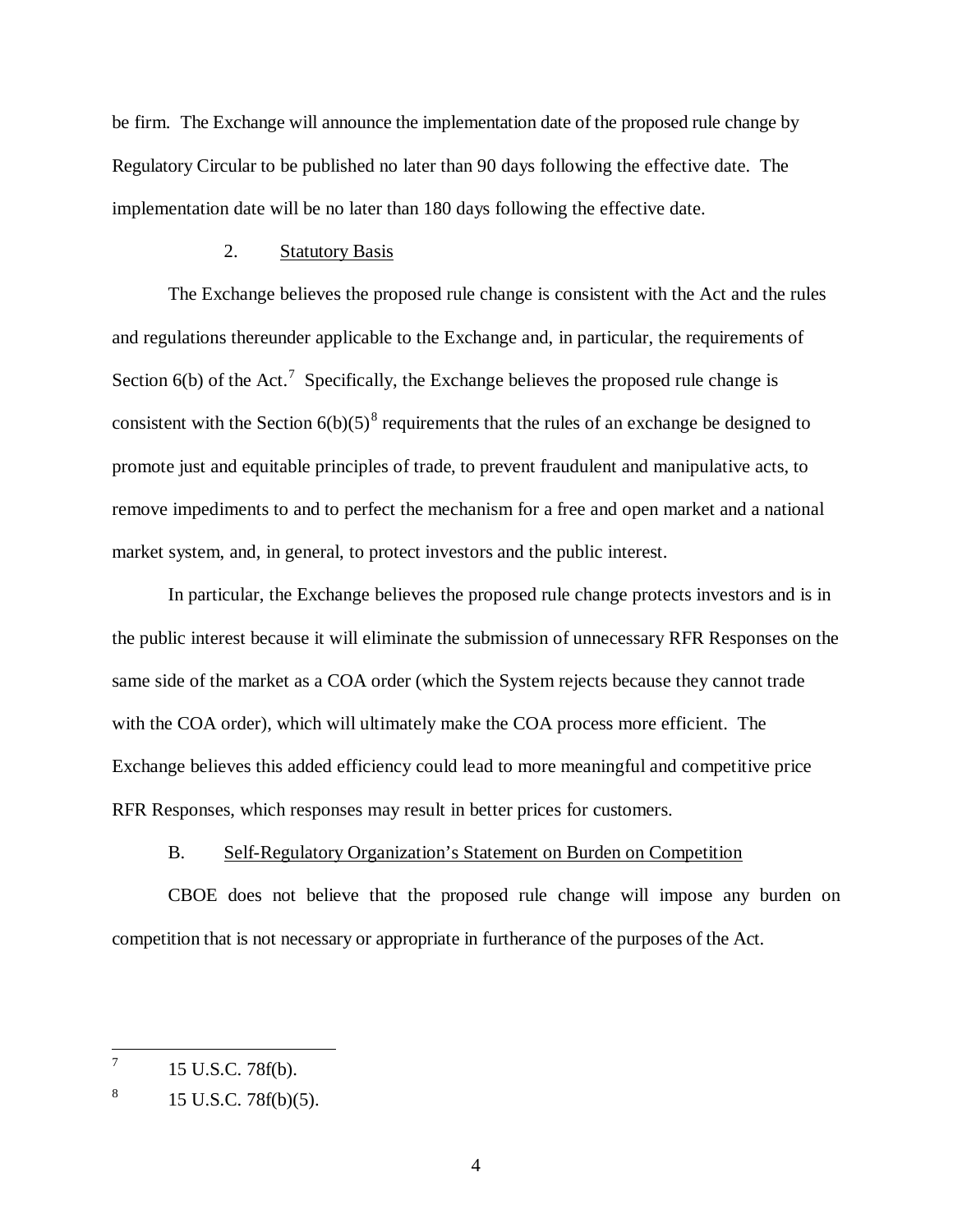be firm. The Exchange will announce the implementation date of the proposed rule change by Regulatory Circular to be published no later than 90 days following the effective date. The implementation date will be no later than 180 days following the effective date.

#### 2. Statutory Basis

The Exchange believes the proposed rule change is consistent with the Act and the rules and regulations thereunder applicable to the Exchange and, in particular, the requirements of Section  $6(b)$  of the Act.<sup>[7](#page-3-0)</sup> Specifically, the Exchange believes the proposed rule change is consistent with the Section  $6(b)(5)^8$  $6(b)(5)^8$  requirements that the rules of an exchange be designed to promote just and equitable principles of trade, to prevent fraudulent and manipulative acts, to remove impediments to and to perfect the mechanism for a free and open market and a national market system, and, in general, to protect investors and the public interest.

In particular, the Exchange believes the proposed rule change protects investors and is in the public interest because it will eliminate the submission of unnecessary RFR Responses on the same side of the market as a COA order (which the System rejects because they cannot trade with the COA order), which will ultimately make the COA process more efficient. The Exchange believes this added efficiency could lead to more meaningful and competitive price RFR Responses, which responses may result in better prices for customers.

#### B. Self-Regulatory Organization's Statement on Burden on Competition

CBOE does not believe that the proposed rule change will impose any burden on competition that is not necessary or appropriate in furtherance of the purposes of the Act.

<span id="page-3-0"></span> $^7$  15 U.S.C. 78f(b).

<span id="page-3-1"></span> $8 \t15$  U.S.C. 78f(b)(5).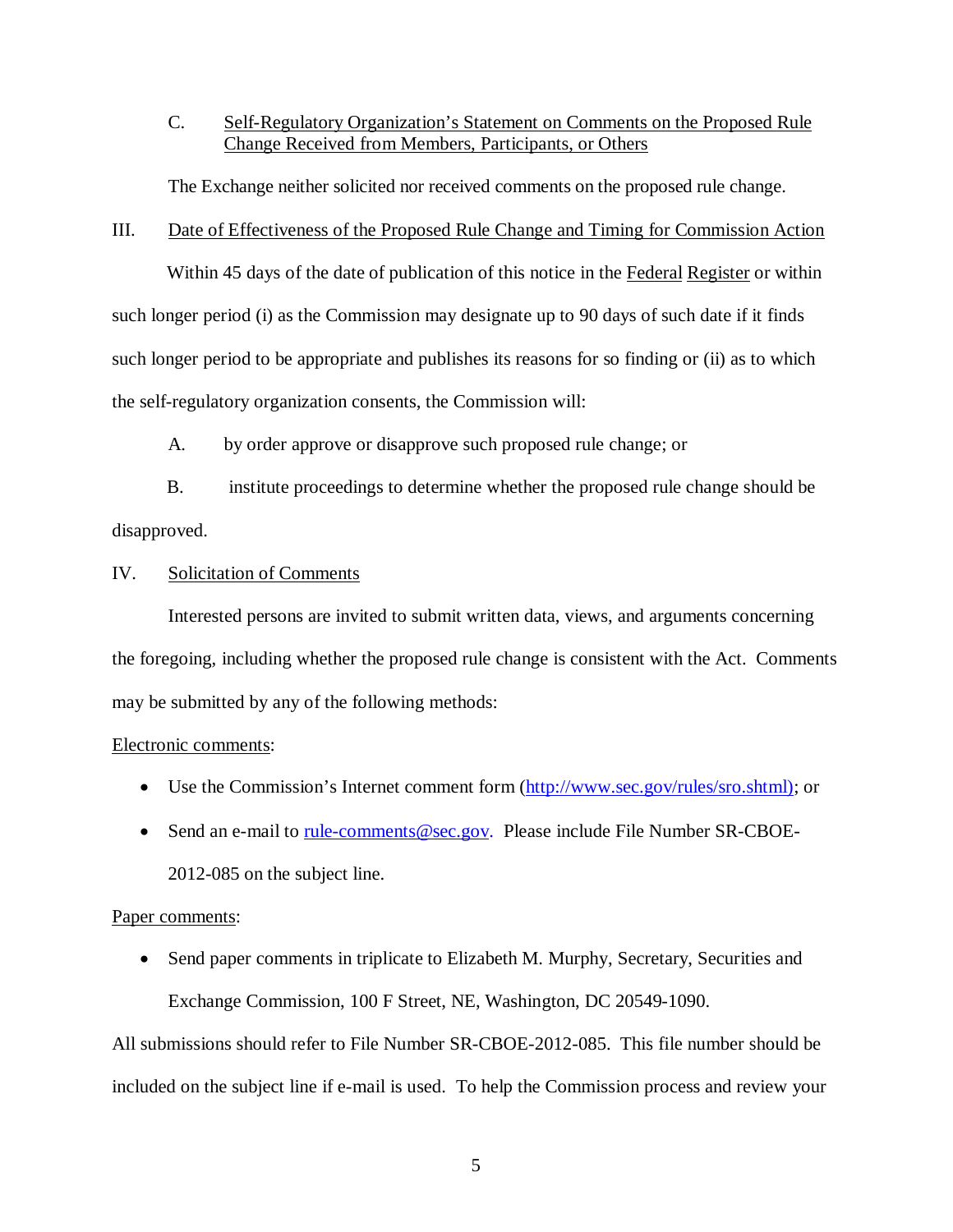C. Self-Regulatory Organization's Statement on Comments on the Proposed Rule Change Received from Members, Participants, or Others

The Exchange neither solicited nor received comments on the proposed rule change.

#### III. Date of Effectiveness of the Proposed Rule Change and Timing for Commission Action

Within 45 days of the date of publication of this notice in the Federal Register or within such longer period (i) as the Commission may designate up to 90 days of such date if it finds such longer period to be appropriate and publishes its reasons for so finding or (ii) as to which the self-regulatory organization consents, the Commission will:

A. by order approve or disapprove such proposed rule change; or

B. institute proceedings to determine whether the proposed rule change should be disapproved.

## IV. Solicitation of Comments

Interested persons are invited to submit written data, views, and arguments concerning the foregoing, including whether the proposed rule change is consistent with the Act. Comments may be submitted by any of the following methods:

## Electronic comments:

- Use the Commission's Internet comment form [\(http://www.sec.gov/rules/sro.shtml\)](http://www.sec.gov/rules/sro.shtml); or
- Send an e-mail to [rule-comments@sec.gov.](mailto:rule-comments@sec.gov) Please include File Number SR-CBOE-2012-085 on the subject line.

# Paper comments:

• Send paper comments in triplicate to Elizabeth M. Murphy, Secretary, Securities and Exchange Commission, 100 F Street, NE, Washington, DC 20549-1090.

All submissions should refer to File Number SR-CBOE-2012-085. This file number should be included on the subject line if e-mail is used. To help the Commission process and review your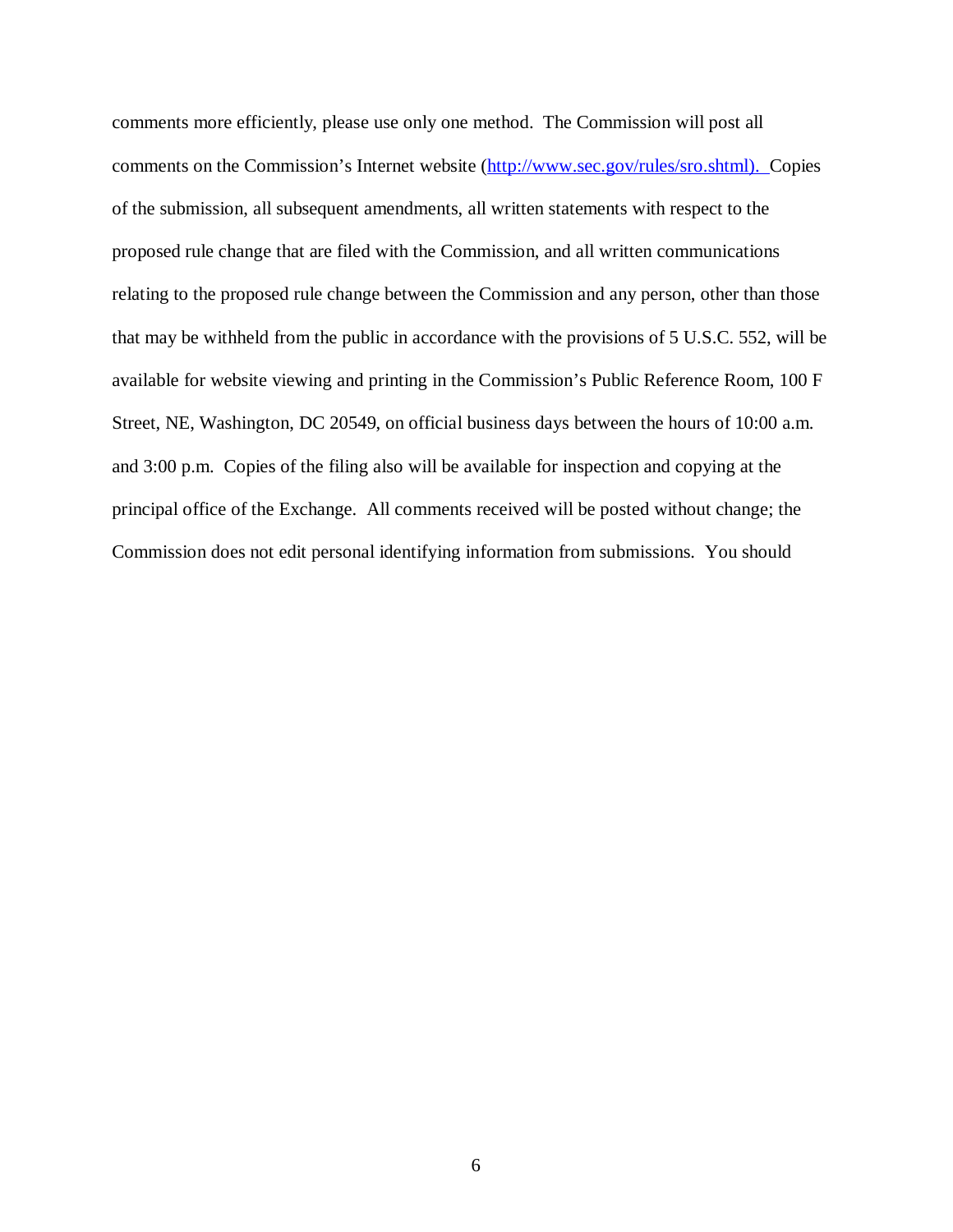comments more efficiently, please use only one method. The Commission will post all comments on the Commission's Internet website [\(http://www.sec.gov/rules/sro.shtml\)](http://www.sec.gov/rules/sro.shtml). Copies of the submission, all subsequent amendments, all written statements with respect to the proposed rule change that are filed with the Commission, and all written communications relating to the proposed rule change between the Commission and any person, other than those that may be withheld from the public in accordance with the provisions of 5 U.S.C. 552, will be available for website viewing and printing in the Commission's Public Reference Room, 100 F Street, NE, Washington, DC 20549, on official business days between the hours of 10:00 a.m. and 3:00 p.m. Copies of the filing also will be available for inspection and copying at the principal office of the Exchange. All comments received will be posted without change; the Commission does not edit personal identifying information from submissions. You should